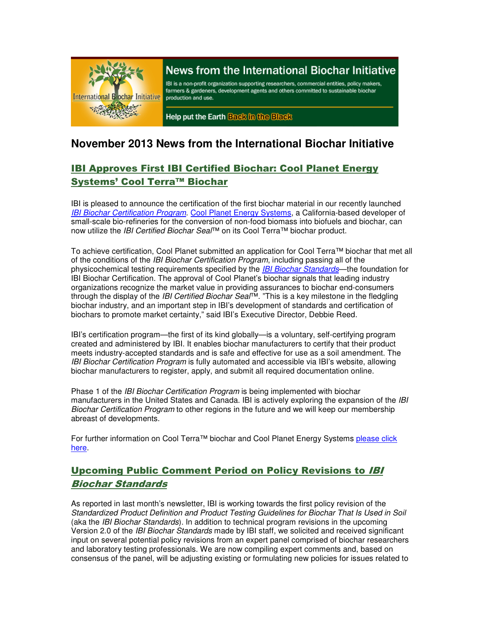

# News from the International Biochar Initiative

IBI is a non-profit organization supporting researchers, commercial entities, policy makers, farmers & gardeners, development agents and others committed to sustainable biochar production and use.

Help put the Earth Back in the Black

## **November 2013 News from the International Biochar Initiative**

## IBI Approves First IBI Certified Biochar: Cool Planet Energy Systems' Cool Terra™ Biochar

IBI is pleased to announce the certification of the first biochar material in our recently launched IBI Biochar Certification Program. Cool Planet Energy Systems, a California-based developer of small-scale bio-refineries for the conversion of non-food biomass into biofuels and biochar, can now utilize the *IBI Certified Biochar Seal*™ on its Cool Terra™ biochar product.

To achieve certification, Cool Planet submitted an application for Cool Terra™ biochar that met all of the conditions of the *IBI Biochar Certification Program*, including passing all of the physicochemical testing requirements specified by the *IBI Biochar Standards*—the foundation for IBI Biochar Certification. The approval of Cool Planet's biochar signals that leading industry organizations recognize the market value in providing assurances to biochar end-consumers through the display of the *IBI Certified Biochar Seal*<sup>™</sup>. "This is a key milestone in the fledgling biochar industry, and an important step in IBI's development of standards and certification of biochars to promote market certainty," said IBI's Executive Director, Debbie Reed.

IBI's certification program—the first of its kind globally—is a voluntary, self-certifying program created and administered by IBI. It enables biochar manufacturers to certify that their product meets industry-accepted standards and is safe and effective for use as a soil amendment. The IBI Biochar Certification Program is fully automated and accessible via IBI's website, allowing biochar manufacturers to register, apply, and submit all required documentation online.

Phase 1 of the IBI Biochar Certification Program is being implemented with biochar manufacturers in the United States and Canada. IBI is actively exploring the expansion of the IBI Biochar Certification Program to other regions in the future and we will keep our membership abreast of developments.

For further information on Cool Terra™ biochar and Cool Planet Energy Systems please click here.

## Upcoming Public Comment Period on Policy Revisions to IBI Biochar Standards

As reported in last month's newsletter, IBI is working towards the first policy revision of the Standardized Product Definition and Product Testing Guidelines for Biochar That Is Used in Soil (aka the IBI Biochar Standards). In addition to technical program revisions in the upcoming Version 2.0 of the IBI Biochar Standards made by IBI staff, we solicited and received significant input on several potential policy revisions from an expert panel comprised of biochar researchers and laboratory testing professionals. We are now compiling expert comments and, based on consensus of the panel, will be adjusting existing or formulating new policies for issues related to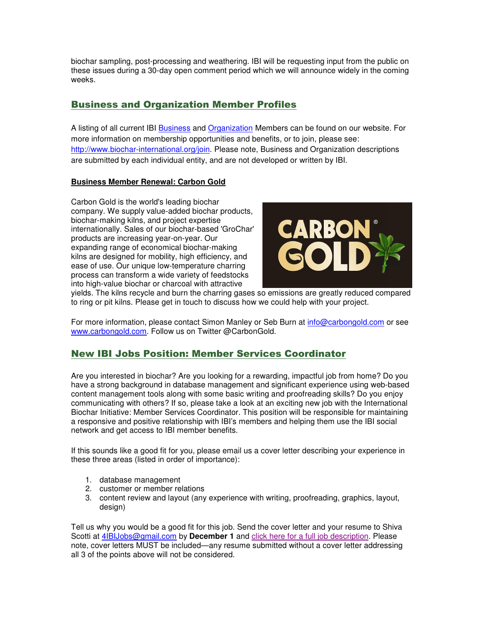biochar sampling, post-processing and weathering. IBI will be requesting input from the public on these issues during a 30-day open comment period which we will announce widely in the coming weeks.

### Business and Organization Member Profiles

A listing of all current IBI Business and Organization Members can be found on our website. For more information on membership opportunities and benefits, or to join, please see: http://www.biochar-international.org/join. Please note, Business and Organization descriptions are submitted by each individual entity, and are not developed or written by IBI.

#### **Business Member Renewal: Carbon Gold**

Carbon Gold is the world's leading biochar company. We supply value-added biochar products, biochar-making kilns, and project expertise internationally. Sales of our biochar-based 'GroChar' products are increasing year-on-year. Our expanding range of economical biochar-making kilns are designed for mobility, high efficiency, and ease of use. Our unique low-temperature charring process can transform a wide variety of feedstocks into high-value biochar or charcoal with attractive



yields. The kilns recycle and burn the charring gases so emissions are greatly reduced compared to ring or pit kilns. Please get in touch to discuss how we could help with your project.

For more information, please contact Simon Manley or Seb Burn at info@carbongold.com or see www.carbongold.com. Follow us on Twitter @CarbonGold.

### New IBI Jobs Position: Member Services Coordinator

Are you interested in biochar? Are you looking for a rewarding, impactful job from home? Do you have a strong background in database management and significant experience using web-based content management tools along with some basic writing and proofreading skills? Do you enjoy communicating with others? If so, please take a look at an exciting new job with the International Biochar Initiative: Member Services Coordinator. This position will be responsible for maintaining a responsive and positive relationship with IBI's members and helping them use the IBI social network and get access to IBI member benefits.

If this sounds like a good fit for you, please email us a cover letter describing your experience in these three areas (listed in order of importance):

- 1. database management
- 2. customer or member relations
- 3. content review and layout (any experience with writing, proofreading, graphics, layout, design)

Tell us why you would be a good fit for this job. Send the cover letter and your resume to Shiva Scotti at 4IBIJobs@gmail.com by **December 1** and click here for a full job description. Please note, cover letters MUST be included—any resume submitted without a cover letter addressing all 3 of the points above will not be considered.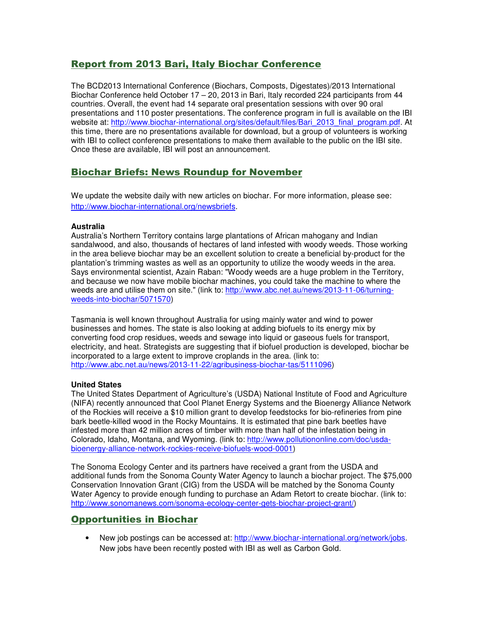### Report from 2013 Bari, Italy Biochar Conference

The BCD2013 International Conference (Biochars, Composts, Digestates)/2013 International Biochar Conference held October 17 – 20, 2013 in Bari, Italy recorded 224 participants from 44 countries. Overall, the event had 14 separate oral presentation sessions with over 90 oral presentations and 110 poster presentations. The conference program in full is available on the IBI website at: http://www.biochar-international.org/sites/default/files/Bari\_2013\_final\_program.pdf. At this time, there are no presentations available for download, but a group of volunteers is working with IBI to collect conference presentations to make them available to the public on the IBI site. Once these are available, IBI will post an announcement.

### Biochar Briefs: News Roundup for November

We update the website daily with new articles on biochar. For more information, please see: http://www.biochar-international.org/newsbriefs.

#### **Australia**

Australia's Northern Territory contains large plantations of African mahogany and Indian sandalwood, and also, thousands of hectares of land infested with woody weeds. Those working in the area believe biochar may be an excellent solution to create a beneficial by-product for the plantation's trimming wastes as well as an opportunity to utilize the woody weeds in the area. Says environmental scientist, Azain Raban: "Woody weeds are a huge problem in the Territory, and because we now have mobile biochar machines, you could take the machine to where the weeds are and utilise them on site." (link to: http://www.abc.net.au/news/2013-11-06/turningweeds-into-biochar/5071570)

Tasmania is well known throughout Australia for using mainly water and wind to power businesses and homes. The state is also looking at adding biofuels to its energy mix by converting food crop residues, weeds and sewage into liquid or gaseous fuels for transport, electricity, and heat. Strategists are suggesting that if biofuel production is developed, biochar be incorporated to a large extent to improve croplands in the area. (link to: http://www.abc.net.au/news/2013-11-22/agribusiness-biochar-tas/5111096)

#### **United States**

The United States Department of Agriculture's (USDA) National Institute of Food and Agriculture (NIFA) recently announced that Cool Planet Energy Systems and the Bioenergy Alliance Network of the Rockies will receive a \$10 million grant to develop feedstocks for bio-refineries from pine bark beetle-killed wood in the Rocky Mountains. It is estimated that pine bark beetles have infested more than 42 million acres of timber with more than half of the infestation being in Colorado, Idaho, Montana, and Wyoming. (link to: http://www.pollutiononline.com/doc/usdabioenergy-alliance-network-rockies-receive-biofuels-wood-0001)

The Sonoma Ecology Center and its partners have received a grant from the USDA and additional funds from the Sonoma County Water Agency to launch a biochar project. The \$75,000 Conservation Innovation Grant (CIG) from the USDA will be matched by the Sonoma County Water Agency to provide enough funding to purchase an Adam Retort to create biochar. (link to: http://www.sonomanews.com/sonoma-ecology-center-gets-biochar-project-grant/)

### Opportunities in Biochar

• New job postings can be accessed at: http://www.biochar-international.org/network/jobs. New jobs have been recently posted with IBI as well as Carbon Gold.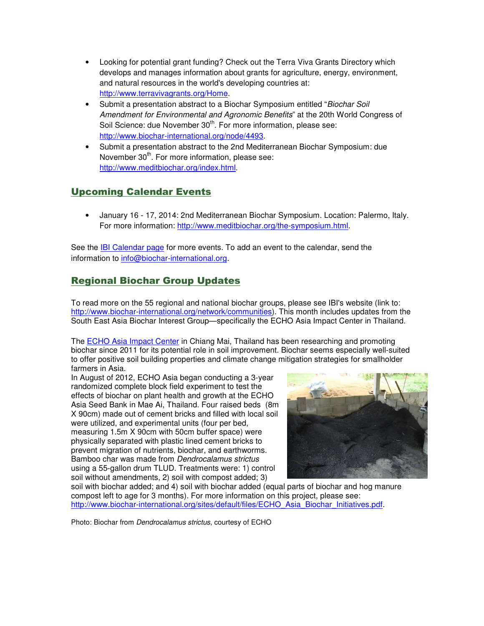- Looking for potential grant funding? Check out the Terra Viva Grants Directory which develops and manages information about grants for agriculture, energy, environment, and natural resources in the world's developing countries at: http://www.terravivagrants.org/Home.
- Submit a presentation abstract to a Biochar Symposium entitled "Biochar Soil Amendment for Environmental and Agronomic Benefits" at the 20th World Congress of Soil Science: due November 30<sup>th</sup>. For more information, please see: http://www.biochar-international.org/node/4493.
- Submit a presentation abstract to the 2nd Mediterranean Biochar Symposium: due November 30<sup>th</sup>. For more information, please see: http://www.meditbiochar.org/index.html.

## Upcoming Calendar Events

• January 16 - 17, 2014: 2nd Mediterranean Biochar Symposium. Location: Palermo, Italy. For more information: http://www.meditbiochar.org/the-symposium.html.

See the **IBI Calendar page for more events**. To add an event to the calendar, send the information to info@biochar-international.org.

## Regional Biochar Group Updates

To read more on the 55 regional and national biochar groups, please see IBI's website (link to: http://www.biochar-international.org/network/communities). This month includes updates from the South East Asia Biochar Interest Group—specifically the ECHO Asia Impact Center in Thailand.

The ECHO Asia Impact Center in Chiang Mai, Thailand has been researching and promoting biochar since 2011 for its potential role in soil improvement. Biochar seems especially well-suited to offer positive soil building properties and climate change mitigation strategies for smallholder farmers in Asia.

In August of 2012, ECHO Asia began conducting a 3-year randomized complete block field experiment to test the effects of biochar on plant health and growth at the ECHO Asia Seed Bank in Mae Ai, Thailand. Four raised beds (8m X 90cm) made out of cement bricks and filled with local soil were utilized, and experimental units (four per bed, measuring 1.5m X 90cm with 50cm buffer space) were physically separated with plastic lined cement bricks to prevent migration of nutrients, biochar, and earthworms. Bamboo char was made from Dendrocalamus strictus using a 55-gallon drum TLUD. Treatments were: 1) control soil without amendments, 2) soil with compost added; 3)



soil with biochar added; and 4) soil with biochar added (equal parts of biochar and hog manure compost left to age for 3 months). For more information on this project, please see: http://www.biochar-international.org/sites/default/files/ECHO\_Asia\_Biochar\_Initiatives.pdf.

Photo: Biochar from Dendrocalamus strictus, courtesy of ECHO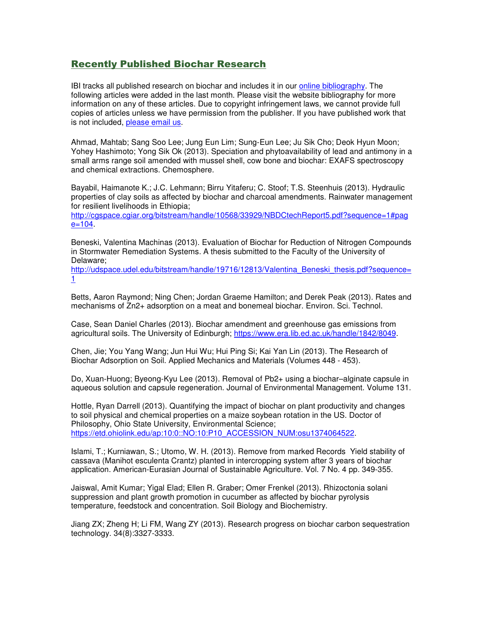#### Recently Published Biochar Research

IBI tracks all published research on biochar and includes it in our online bibliography. The following articles were added in the last month. Please visit the website bibliography for more information on any of these articles. Due to copyright infringement laws, we cannot provide full copies of articles unless we have permission from the publisher. If you have published work that is not included, please email us.

Ahmad, Mahtab; Sang Soo Lee; Jung Eun Lim; Sung-Eun Lee; Ju Sik Cho; Deok Hyun Moon; Yohey Hashimoto; Yong Sik Ok (2013). Speciation and phytoavailability of lead and antimony in a small arms range soil amended with mussel shell, cow bone and biochar: EXAFS spectroscopy and chemical extractions. Chemosphere.

Bayabil, Haimanote K.; J.C. Lehmann; Birru Yitaferu; C. Stoof; T.S. Steenhuis (2013). Hydraulic properties of clay soils as affected by biochar and charcoal amendments. Rainwater management for resilient livelihoods in Ethiopia;

http://cgspace.cgiar.org/bitstream/handle/10568/33929/NBDCtechReport5.pdf?sequence=1#pag  $e = 104.$ 

Beneski, Valentina Machinas (2013). Evaluation of Biochar for Reduction of Nitrogen Compounds in Stormwater Remediation Systems. A thesis submitted to the Faculty of the University of Delaware;

http://udspace.udel.edu/bitstream/handle/19716/12813/Valentina\_Beneski\_thesis.pdf?sequence= 1

Betts, Aaron Raymond; Ning Chen; Jordan Graeme Hamilton; and Derek Peak (2013). Rates and mechanisms of Zn2+ adsorption on a meat and bonemeal biochar. Environ. Sci. Technol.

Case, Sean Daniel Charles (2013). Biochar amendment and greenhouse gas emissions from agricultural soils. The University of Edinburgh; https://www.era.lib.ed.ac.uk/handle/1842/8049.

Chen, Jie; You Yang Wang; Jun Hui Wu; Hui Ping Si; Kai Yan Lin (2013). The Research of Biochar Adsorption on Soil. Applied Mechanics and Materials (Volumes 448 - 453).

Do, Xuan-Huong; Byeong-Kyu Lee (2013). Removal of Pb2+ using a biochar–alginate capsule in aqueous solution and capsule regeneration. Journal of Environmental Management. Volume 131.

Hottle, Ryan Darrell (2013). Quantifying the impact of biochar on plant productivity and changes to soil physical and chemical properties on a maize soybean rotation in the US. Doctor of Philosophy, Ohio State University, Environmental Science; https://etd.ohiolink.edu/ap:10:0::NO:10:P10\_ACCESSION\_NUM:osu1374064522.

Islami, T.; Kurniawan, S.; Utomo, W. H. (2013). Remove from marked Records Yield stability of cassava (Manihot esculenta Crantz) planted in intercropping system after 3 years of biochar application. American-Eurasian Journal of Sustainable Agriculture. Vol. 7 No. 4 pp. 349-355.

Jaiswal, Amit Kumar; Yigal Elad; Ellen R. Graber; Omer Frenkel (2013). Rhizoctonia solani suppression and plant growth promotion in cucumber as affected by biochar pyrolysis temperature, feedstock and concentration. Soil Biology and Biochemistry.

Jiang ZX; Zheng H; Li FM, Wang ZY (2013). Research progress on biochar carbon sequestration technology. 34(8):3327-3333.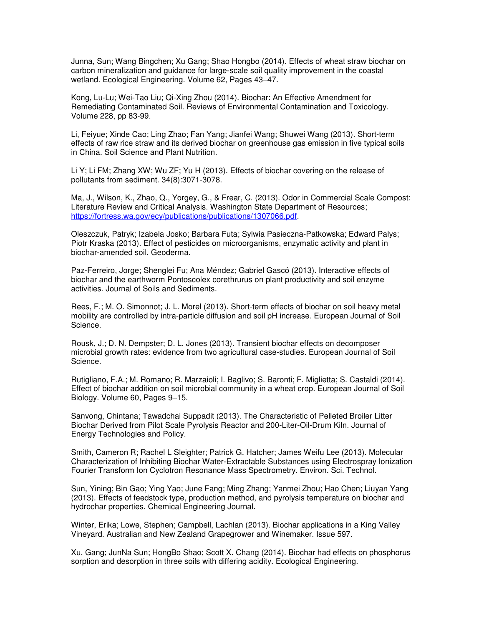Junna, Sun; Wang Bingchen; Xu Gang; Shao Hongbo (2014). Effects of wheat straw biochar on carbon mineralization and guidance for large-scale soil quality improvement in the coastal wetland. Ecological Engineering. Volume 62, Pages 43–47.

Kong, Lu-Lu; Wei-Tao Liu; Qi-Xing Zhou (2014). Biochar: An Effective Amendment for Remediating Contaminated Soil. Reviews of Environmental Contamination and Toxicology. Volume 228, pp 83-99.

Li, Feiyue; Xinde Cao; Ling Zhao; Fan Yang; Jianfei Wang; Shuwei Wang (2013). Short-term effects of raw rice straw and its derived biochar on greenhouse gas emission in five typical soils in China. Soil Science and Plant Nutrition.

Li Y; Li FM; Zhang XW; Wu ZF; Yu H (2013). Effects of biochar covering on the release of pollutants from sediment. 34(8):3071-3078.

Ma, J., Wilson, K., Zhao, Q., Yorgey, G., & Frear, C. (2013). Odor in Commercial Scale Compost: Literature Review and Critical Analysis. Washington State Department of Resources; https://fortress.wa.gov/ecy/publications/publications/1307066.pdf.

Oleszczuk, Patryk; Izabela Josko; Barbara Futa; Sylwia Pasieczna-Patkowska; Edward Palys; Piotr Kraska (2013). Effect of pesticides on microorganisms, enzymatic activity and plant in biochar-amended soil. Geoderma.

Paz-Ferreiro, Jorge; Shenglei Fu; Ana Méndez; Gabriel Gascó (2013). Interactive effects of biochar and the earthworm Pontoscolex corethrurus on plant productivity and soil enzyme activities. Journal of Soils and Sediments.

Rees, F.; M. O. Simonnot; J. L. Morel (2013). Short-term effects of biochar on soil heavy metal mobility are controlled by intra-particle diffusion and soil pH increase. European Journal of Soil Science.

Rousk, J.; D. N. Dempster; D. L. Jones (2013). Transient biochar effects on decomposer microbial growth rates: evidence from two agricultural case-studies. European Journal of Soil Science.

Rutigliano, F.A.; M. Romano; R. Marzaioli; I. Baglivo; S. Baronti; F. Miglietta; S. Castaldi (2014). Effect of biochar addition on soil microbial community in a wheat crop. European Journal of Soil Biology. Volume 60, Pages 9–15.

Sanvong, Chintana; Tawadchai Suppadit (2013). The Characteristic of Pelleted Broiler Litter Biochar Derived from Pilot Scale Pyrolysis Reactor and 200-Liter-Oil-Drum Kiln. Journal of Energy Technologies and Policy.

Smith, Cameron R; Rachel L Sleighter; Patrick G. Hatcher; James Weifu Lee (2013). Molecular Characterization of Inhibiting Biochar Water-Extractable Substances using Electrospray Ionization Fourier Transform Ion Cyclotron Resonance Mass Spectrometry. Environ. Sci. Technol.

Sun, Yining; Bin Gao; Ying Yao; June Fang; Ming Zhang; Yanmei Zhou; Hao Chen; Liuyan Yang (2013). Effects of feedstock type, production method, and pyrolysis temperature on biochar and hydrochar properties. Chemical Engineering Journal.

Winter, Erika; Lowe, Stephen; Campbell, Lachlan (2013). Biochar applications in a King Valley Vineyard. Australian and New Zealand Grapegrower and Winemaker. Issue 597.

Xu, Gang; JunNa Sun; HongBo Shao; Scott X. Chang (2014). Biochar had effects on phosphorus sorption and desorption in three soils with differing acidity. Ecological Engineering.